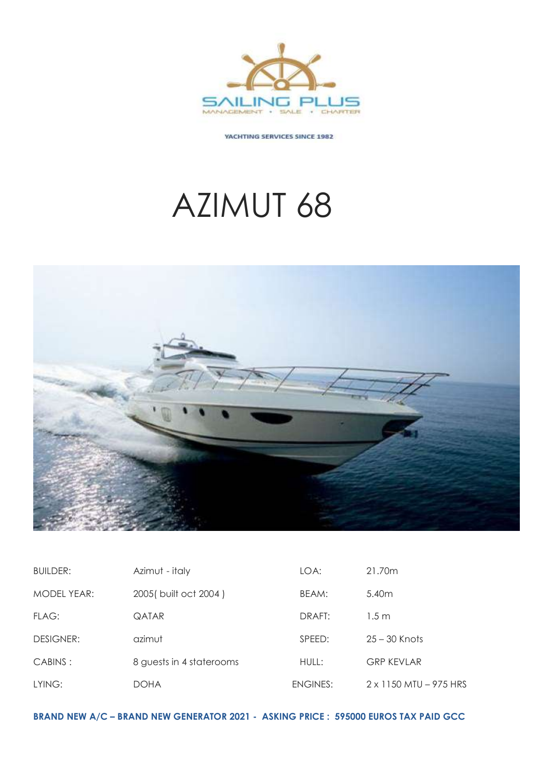

**YACHTING SERVICES SINCE 1982** 

## AZIMUT 68



| <b>BUILDER:</b> | Azimut - italy           | LOA:            | 21.70m                 |
|-----------------|--------------------------|-----------------|------------------------|
| MODEL YEAR:     | 2005(built oct 2004)     | BEAM:           | 5.40 <sub>m</sub>      |
| FLAG:           | QATAR                    | DRAFT:          | $1.5 \text{ m}$        |
| DESIGNER:       | azimut                   | SPEED:          | $25 - 30$ Knots        |
| CABINS:         | 8 guests in 4 staterooms | HULL:           | <b>GRP KEVLAR</b>      |
| LYING:          | <b>DOHA</b>              | <b>ENGINES:</b> | 2 x 1150 MTU - 975 HRS |

**BRAND NEW A/C – BRAND NEW GENERATOR 2021 - ASKING PRICE : 595000 EUROS TAX PAID GCC**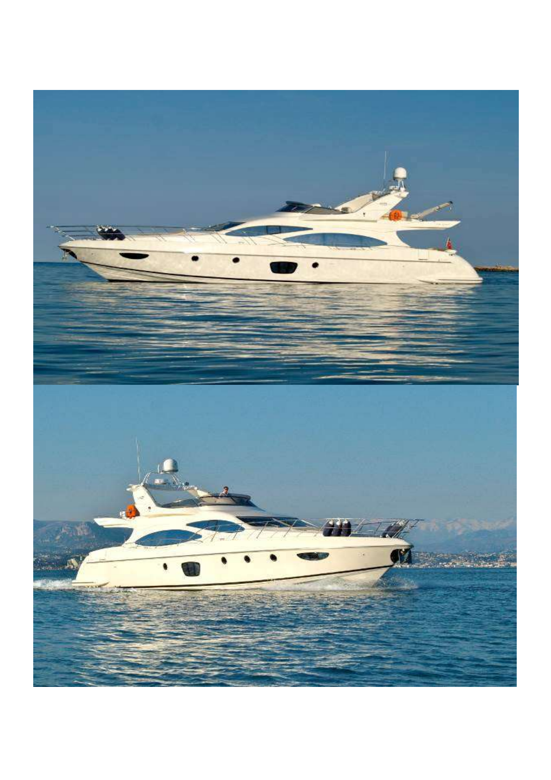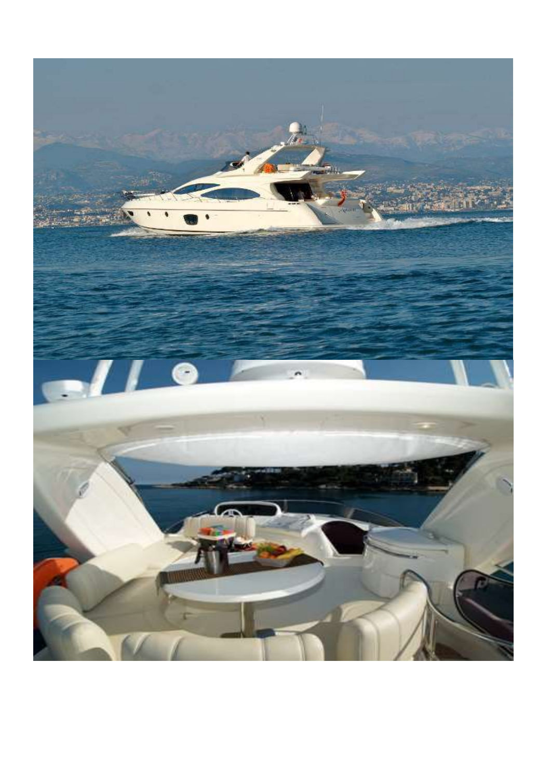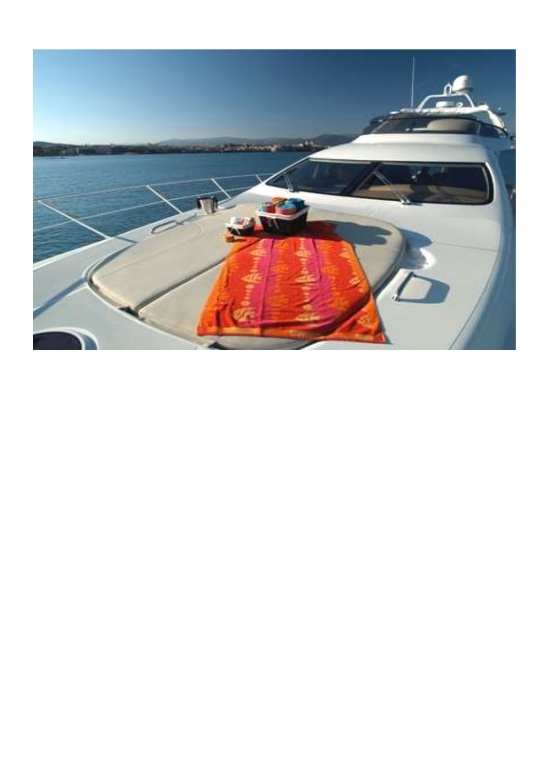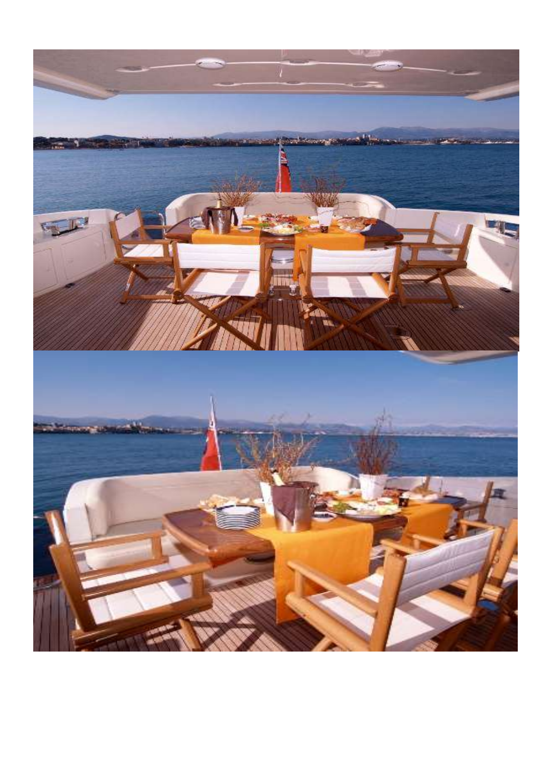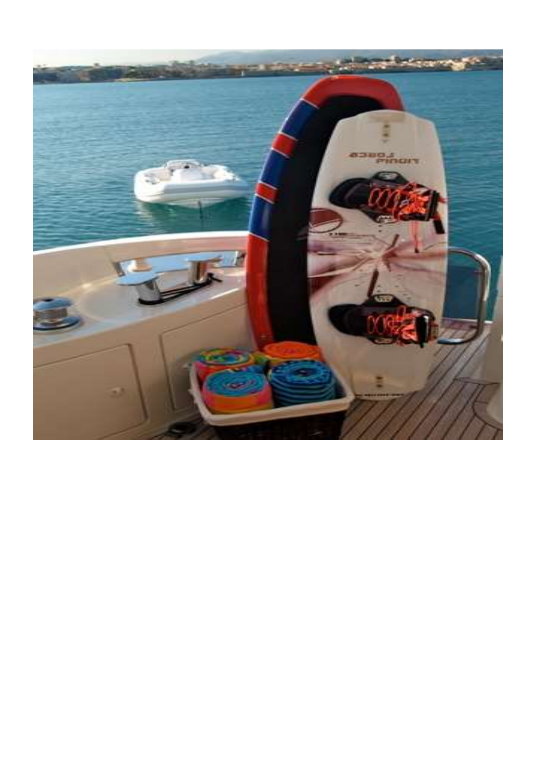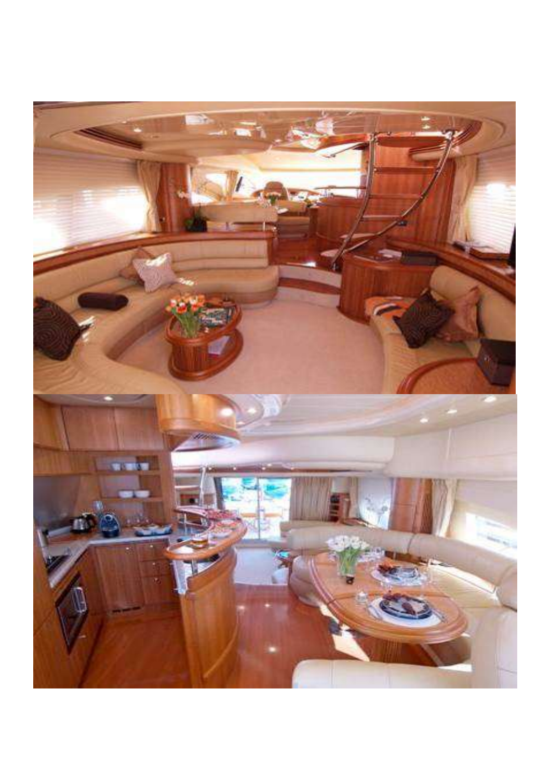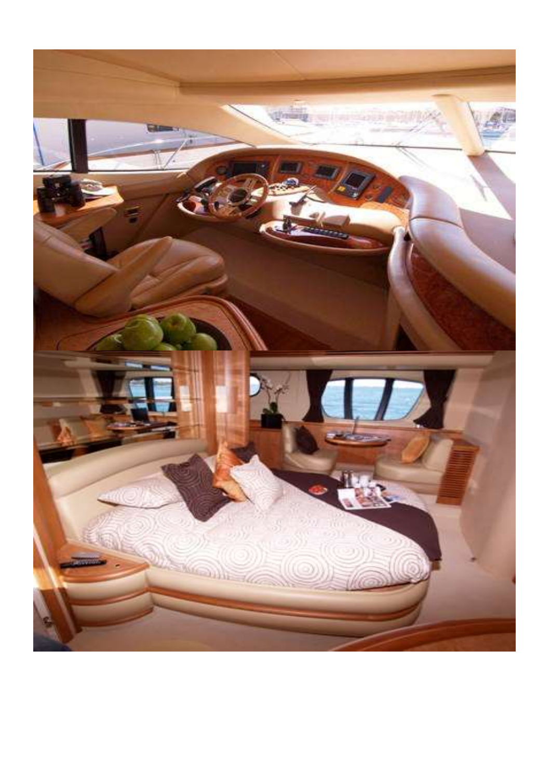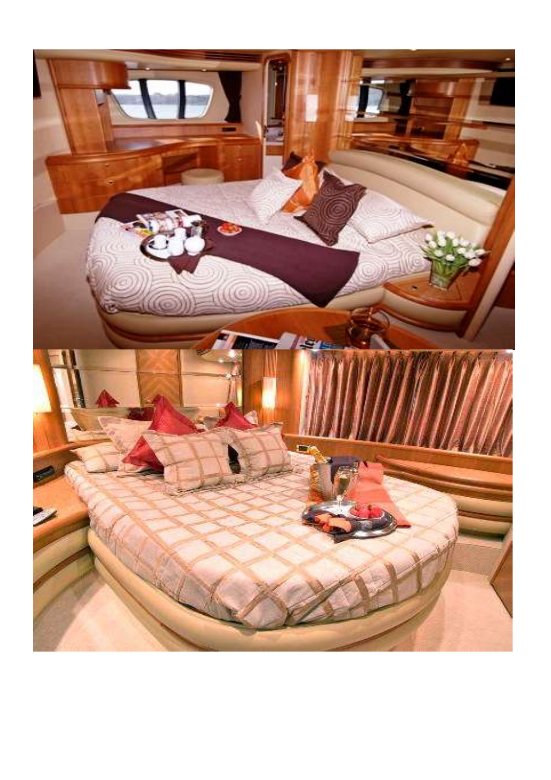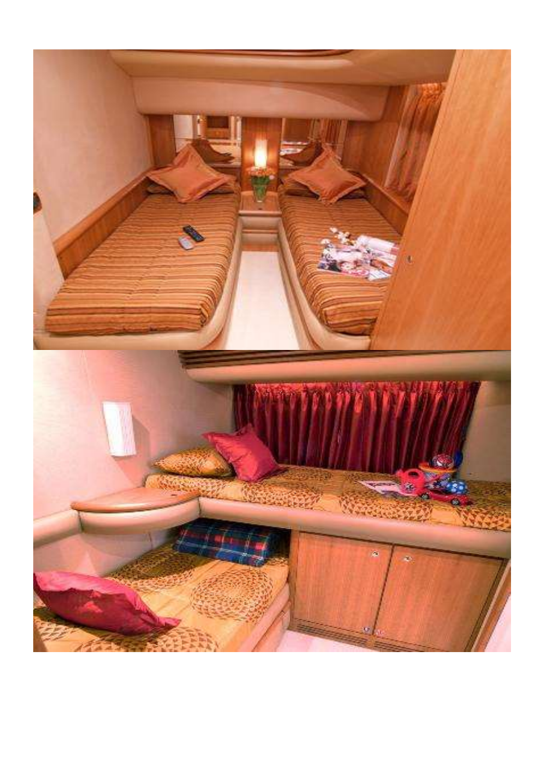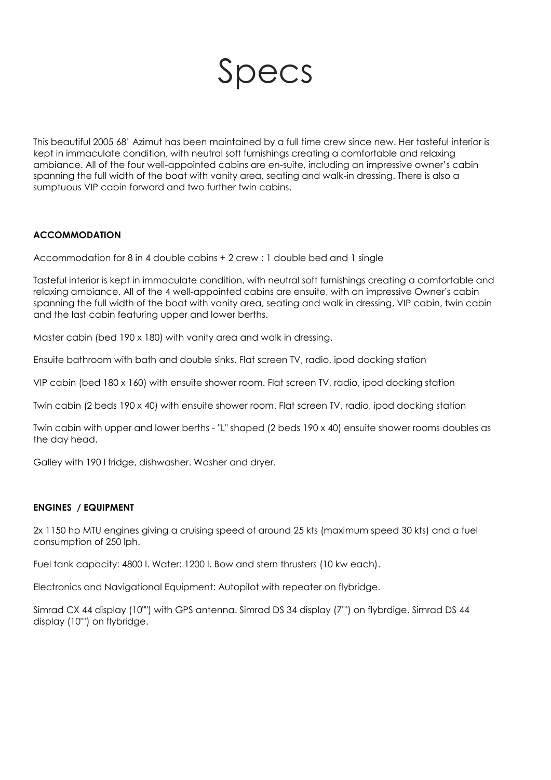## Specs

This beautiful 2005 68' Azimut has been maintained by a full time crew since new. Her tasteful interior is kept in immaculate condition, with neutral soft furnishings creating a comfortable and relaxing ambiance. All of the four well-appointed cabins are en-suite, including an impressive owner's cabin spanning the full width of the boat with vanity area, seating and walk-in dressing. There is also a sumptuous VIP cabin forward and two further twin cabins.

## **ACCOMMODATION**

Accommodation for 8 in 4 double cabins + 2 crew : 1 double bed and 1 single

Tasteful interior is kept in immaculate condition, with neutral soft furnishings creating a comfortable and relaxing ambiance. All of the 4 well-appointed cabins are ensuite, with an impressive Owner's cabin spanning the full width of the boat with vanity area, seating and walk in dressing, VIP cabin, twin cabin and the last cabin featuring upper and lower berths.

Master cabin (bed 190 x 180) with vanity area and walk in dressing.

Ensuite bathroom with bath and double sinks. Flat screen TV, radio, ipod docking station

VIP cabin (bed 180 x 160) with ensuite shower room. Flat screen TV, radio, ipod docking station

Twin cabin (2 beds 190 x 40) with ensuite shower room. Flat screen TV, radio, ipod docking station

Twin cabin with upper and lower berths - "L" shaped (2 beds 190 x 40) ensuite shower rooms doubles as the day head.

Galley with 190 l fridge, dishwasher. Washer and dryer.

## **ENGINES / EQUIPMENT**

2x 1150 hp MTU engines giving a cruising speed of around 25 kts (maximum speed 30 kts) and a fuel consumption of 250 lph.

Fuel tank capacity: 4800 l. Water: 1200 l. Bow and stern thrusters (10 kw each).

Electronics and Navigational Equipment: Autopilot with repeater on flybridge.

Simrad CX 44 display (10"") with GPS antenna. Simrad DS 34 display (7"") on flybrdige. Simrad DS 44 display (10"") on flybridge.